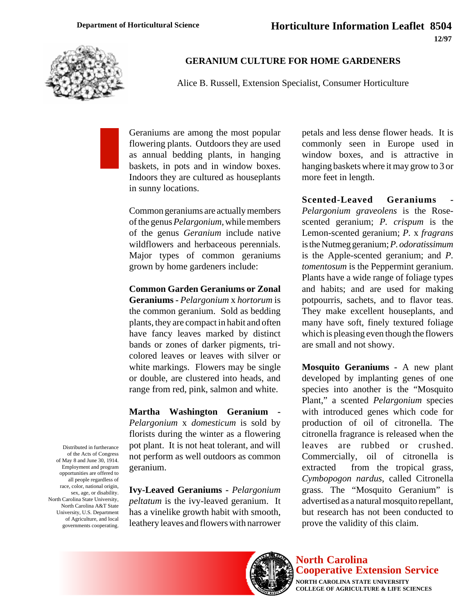**12/97**



## **GERANIUM CULTURE FOR HOME GARDENERS**

Alice B. Russell, Extension Specialist, Consumer Horticulture

Geraniums are among the most popular flowering plants. Outdoors they are used as annual bedding plants, in hanging baskets, in pots and in window boxes. Indoors they are cultured as houseplants in sunny locations.

Common geraniums are actually members of the genus *Pelargonium,* while members of the genus *Geranium* include native wildflowers and herbaceous perennials. Major types of common geraniums grown by home gardeners include:

## **Common Garden Geraniums or Zonal**

**Geraniums -** *Pelargonium* x *hortorum* is the common geranium. Sold as bedding plants, they are compact in habit and often have fancy leaves marked by distinct bands or zones of darker pigments, tricolored leaves or leaves with silver or white markings. Flowers may be single or double, are clustered into heads, and range from red, pink, salmon and white.

**Martha Washington Geranium -** *Pelargonium* x *domesticum* is sold by florists during the winter as a flowering pot plant. It is not heat tolerant, and will not perform as well outdoors as common geranium.

**Ivy-Leaved Geraniums -** *Pelargonium peltatum* is the ivy-leaved geranium. It has a vinelike growth habit with smooth, leathery leaves and flowers with narrower petals and less dense flower heads. It is commonly seen in Europe used in window boxes, and is attractive in hanging baskets where it may grow to 3 or more feet in length.

**Scented-Leaved Geraniums** *Pelargonium graveolens* is the Rosescented geranium; *P. crispum* is the Lemon-scented geranium; *P.* x *fragrans* is the Nutmeg geranium; *P. odoratissimum* is the Apple-scented geranium; and *P. tomentosum* is the Peppermint geranium. Plants have a wide range of foliage types and habits; and are used for making potpourris, sachets, and to flavor teas. They make excellent houseplants, and many have soft, finely textured foliage which is pleasing even though the flowers are small and not showy.

**Mosquito Geraniums -** A new plant developed by implanting genes of one species into another is the "Mosquito Plant," a scented *Pelargonium* species with introduced genes which code for production of oil of citronella. The citronella fragrance is released when the leaves are rubbed or crushed. Commercially, oil of citronella is extracted from the tropical grass, *Cymbopogon nardus*, called Citronella grass. The "Mosquito Geranium" is advertised as a natural mosquito repellant, but research has not been conducted to prove the validity of this claim.



## **North Carolina Cooperative Extension Service**

**NORTH CAROLINA STATE UNIVERSITY COLLEGE OF AGRICULTURE & LIFE SCIENCES**

Distributed in furtherance of the Acts of Congress of May 8 and June 30, 1914. Employment and program opportunities are offered to all people regardless of race, color, national origin, sex, age, or disability. North Carolina State University, North Carolina A&T State University, U.S. Department of Agriculture, and local governments cooperating.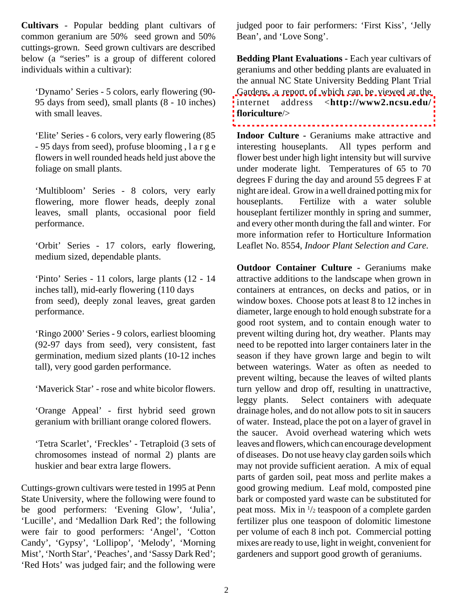**Cultivars** - Popular bedding plant cultivars of common geranium are 50% seed grown and 50% cuttings-grown. Seed grown cultivars are described below (a "series" is a group of different colored individuals within a cultivar):

'Dynamo' Series - 5 colors, early flowering (90- 95 days from seed), small plants (8 - 10 inches) with small leaves.

'Elite' Series - 6 colors, very early flowering (85 - 95 days from seed), profuse blooming ,large flowers in well rounded heads held just above the foliage on small plants.

'Multibloom' Series - 8 colors, very early flowering, more flower heads, deeply zonal leaves, small plants, occasional poor field performance.

'Orbit' Series - 17 colors, early flowering, medium sized, dependable plants.

'Pinto' Series - 11 colors, large plants (12 - 14 inches tall), mid-early flowering (110 days from seed), deeply zonal leaves, great garden performance.

'Ringo 2000' Series - 9 colors, earliest blooming (92-97 days from seed), very consistent, fast germination, medium sized plants (10-12 inches tall), very good garden performance.

'Maverick Star' - rose and white bicolor flowers.

'Orange Appeal' - first hybrid seed grown geranium with brilliant orange colored flowers.

'Tetra Scarlet', 'Freckles' - Tetraploid (3 sets of chromosomes instead of normal 2) plants are huskier and bear extra large flowers.

Cuttings-grown cultivars were tested in 1995 at Penn State University, where the following were found to be good performers: 'Evening Glow', 'Julia', 'Lucille', and 'Medallion Dark Red'; the following were fair to good performers: 'Angel', 'Cotton Candy', 'Gypsy', 'Lollipop', 'Melody', 'Morning Mist', 'North Star', 'Peaches', and 'Sassy Dark Red'; 'Red Hots' was judged fair; and the following were judged poor to fair performers: 'First Kiss', 'Jelly Bean', and 'Love Song'.

**Bedding Plant Evaluations -** Each year cultivars of geraniums and other bedding plants are evaluated in the annual NC State University Bedding Plant Trial Gardens, a report of which can be viewed at the internet address <**[http://www2.ncsu.edu/](http://www2.ncsu.edu/floriculure/) floriculture**/>

Indoor Culture - Geraniums make attractive and interesting houseplants. All types perform and flower best under high light intensity but will survive under moderate light. Temperatures of 65 to 70 degrees F during the day and around 55 degrees F at night are ideal. Grow in a well drained potting mix for houseplants. Fertilize with a water soluble houseplant fertilizer monthly in spring and summer, and every other month during the fall and winter. For more information refer to Horticulture Information Leaflet No. 8554, *Indoor Plant Selection and Care*.

**Outdoor Container Culture - Geraniums make** attractive additions to the landscape when grown in containers at entrances, on decks and patios, or in window boxes. Choose pots at least 8 to 12 inches in diameter, large enough to hold enough substrate for a good root system, and to contain enough water to prevent wilting during hot, dry weather. Plants may need to be repotted into larger containers later in the season if they have grown large and begin to wilt between waterings. Water as often as needed to prevent wilting, because the leaves of wilted plants turn yellow and drop off, resulting in unattractive, leggy plants. Select containers with adequate drainage holes, and do not allow pots to sit in saucers of water. Instead, place the pot on a layer of gravel in the saucer. Avoid overhead watering which wets leaves and flowers, which can encourage development of diseases. Do not use heavy clay garden soils which may not provide sufficient aeration. A mix of equal parts of garden soil, peat moss and perlite makes a good growing medium. Leaf mold, composted pine bark or composted yard waste can be substituted for peat moss. Mix in 1 /2 teaspoon of a complete garden fertilizer plus one teaspoon of dolomitic limestone per volume of each 8 inch pot. Commercial potting mixes are ready to use, light in weight, convenient for gardeners and support good growth of geraniums.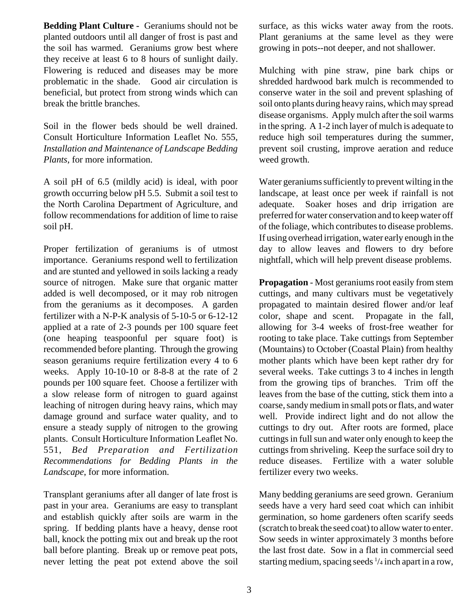**Bedding Plant Culture -** Geraniums should not be planted outdoors until all danger of frost is past and the soil has warmed. Geraniums grow best where they receive at least 6 to 8 hours of sunlight daily. Flowering is reduced and diseases may be more problematic in the shade. Good air circulation is beneficial, but protect from strong winds which can break the brittle branches.

Soil in the flower beds should be well drained. Consult Horticulture Information Leaflet No. 555, *Installation and Maintenance of Landscape Bedding Plants*, for more information.

A soil pH of 6.5 (mildly acid) is ideal, with poor growth occurring below pH 5.5. Submit a soil test to the North Carolina Department of Agriculture, and follow recommendations for addition of lime to raise soil pH.

Proper fertilization of geraniums is of utmost importance. Geraniums respond well to fertilization and are stunted and yellowed in soils lacking a ready source of nitrogen. Make sure that organic matter added is well decomposed, or it may rob nitrogen from the geraniums as it decomposes. A garden fertilizer with a N-P-K analysis of 5-10-5 or 6-12-12 applied at a rate of 2-3 pounds per 100 square feet (one heaping teaspoonful per square foot) is recommended before planting. Through the growing season geraniums require fertilization every 4 to 6 weeks. Apply 10-10-10 or 8-8-8 at the rate of 2 pounds per 100 square feet. Choose a fertilizer with a slow release form of nitrogen to guard against leaching of nitrogen during heavy rains, which may damage ground and surface water quality, and to ensure a steady supply of nitrogen to the growing plants. Consult Horticulture Information Leaflet No. 551, *Bed Preparation and Fertilization Recommendations for Bedding Plants in the Landscape*, for more information.

Transplant geraniums after all danger of late frost is past in your area. Geraniums are easy to transplant and establish quickly after soils are warm in the spring. If bedding plants have a heavy, dense root ball, knock the potting mix out and break up the root ball before planting. Break up or remove peat pots, never letting the peat pot extend above the soil surface, as this wicks water away from the roots. Plant geraniums at the same level as they were growing in pots--not deeper, and not shallower.

Mulching with pine straw, pine bark chips or shredded hardwood bark mulch is recommended to conserve water in the soil and prevent splashing of soil onto plants during heavy rains, which may spread disease organisms. Apply mulch after the soil warms in the spring. A 1-2 inch layer of mulch is adequate to reduce high soil temperatures during the summer, prevent soil crusting, improve aeration and reduce weed growth.

Water geraniums sufficiently to prevent wilting in the landscape, at least once per week if rainfall is not adequate. Soaker hoses and drip irrigation are preferred for water conservation and to keep water off of the foliage, which contributes to disease problems. If using overhead irrigation, water early enough in the day to allow leaves and flowers to dry before nightfall, which will help prevent disease problems.

**Propagation** - Most geraniums root easily from stem cuttings, and many cultivars must be vegetatively propagated to maintain desired flower and/or leaf color, shape and scent. Propagate in the fall, allowing for 3-4 weeks of frost-free weather for rooting to take place. Take cuttings from September (Mountains) to October (Coastal Plain) from healthy mother plants which have been kept rather dry for several weeks. Take cuttings 3 to 4 inches in length from the growing tips of branches. Trim off the leaves from the base of the cutting, stick them into a coarse, sandy medium in small pots or flats, and water well. Provide indirect light and do not allow the cuttings to dry out. After roots are formed, place cuttings in full sun and water only enough to keep the cuttings from shriveling. Keep the surface soil dry to reduce diseases. Fertilize with a water soluble fertilizer every two weeks.

Many bedding geraniums are seed grown. Geranium seeds have a very hard seed coat which can inhibit germination, so home gardeners often scarify seeds (scratch to break the seed coat) to allow water to enter. Sow seeds in winter approximately 3 months before the last frost date. Sow in a flat in commercial seed starting medium, spacing seeds <sup>1</sup>/<sub>4</sub> inch apart in a row,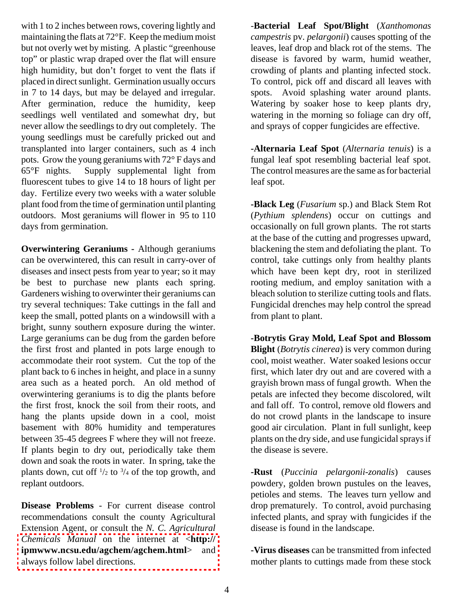with 1 to 2 inches between rows, covering lightly and maintaining the flats at 72°F. Keep the medium moist but not overly wet by misting. A plastic "greenhouse top" or plastic wrap draped over the flat will ensure high humidity, but don't forget to vent the flats if placed in direct sunlight. Germination usually occurs in 7 to 14 days, but may be delayed and irregular. After germination, reduce the humidity, keep seedlings well ventilated and somewhat dry, but never allow the seedlings to dry out completely. The young seedlings must be carefully pricked out and transplanted into larger containers, such as 4 inch pots. Grow the young geraniums with 72° F days and 65°F nights. Supply supplemental light from fluorescent tubes to give 14 to 18 hours of light per day. Fertilize every two weeks with a water soluble plant food from the time of germination until planting outdoors. Most geraniums will flower in 95 to 110 days from germination.

**Overwintering Geraniums -** Although geraniums can be overwintered, this can result in carry-over of diseases and insect pests from year to year; so it may be best to purchase new plants each spring. Gardeners wishing to overwinter their geraniums can try several techniques: Take cuttings in the fall and keep the small, potted plants on a windowsill with a bright, sunny southern exposure during the winter. Large geraniums can be dug from the garden before the first frost and planted in pots large enough to accommodate their root system. Cut the top of the plant back to 6 inches in height, and place in a sunny area such as a heated porch. An old method of overwintering geraniums is to dig the plants before the first frost, knock the soil from their roots, and hang the plants upside down in a cool, moist basement with 80% humidity and temperatures between 35-45 degrees F where they will not freeze. If plants begin to dry out, periodically take them down and soak the roots in water. In spring, take the plants down, cut of  $\frac{1}{2}$  to  $\frac{3}{4}$  of the top growth, and replant outdoors.

**Disease Problems** - For current disease control recommendations consult the county Agricultural Extension Agent, or consult the *N. C. Agricultural Chemicals Manual* on the internet at <**http:// [ipmwww.ncsu.edu/agchem/agchem.html](http://ipmwww.ncsu.edu/agchem/agchem.html)**> and always follow label directions.

-**Bacterial Leaf Spot/Blight** (*Xanthomonas campestris* pv. *pelargonii*) causes spotting of the leaves, leaf drop and black rot of the stems. The disease is favored by warm, humid weather, crowding of plants and planting infected stock. To control, pick off and discard all leaves with spots. Avoid splashing water around plants. Watering by soaker hose to keep plants dry, watering in the morning so foliage can dry off, and sprays of copper fungicides are effective.

**-Alternaria Leaf Spot** (*Alternaria tenuis*) is a fungal leaf spot resembling bacterial leaf spot. The control measures are the same as for bacterial leaf spot.

**-Black Leg** (*Fusarium* sp.) and Black Stem Rot (*Pythium splendens*) occur on cuttings and occasionally on full grown plants. The rot starts at the base of the cutting and progresses upward, blackening the stem and defoliating the plant. To control, take cuttings only from healthy plants which have been kept dry, root in sterilized rooting medium, and employ sanitation with a bleach solution to sterilize cutting tools and flats. Fungicidal drenches may help control the spread from plant to plant.

**-Botrytis Gray Mold, Leaf Spot and Blossom Blight** (*Botrytis cinerea*) is very common during cool, moist weather. Water soaked lesions occur first, which later dry out and are covered with a grayish brown mass of fungal growth. When the petals are infected they become discolored, wilt and fall off. To control, remove old flowers and do not crowd plants in the landscape to insure good air circulation. Plant in full sunlight, keep plants on the dry side, and use fungicidal sprays if the disease is severe.

**-Rust** (*Puccinia pelargonii-zonalis*) causes powdery, golden brown pustules on the leaves, petioles and stems. The leaves turn yellow and drop prematurely. To control, avoid purchasing infected plants, and spray with fungicides if the disease is found in the landscape.

**-Virus diseases** can be transmitted from infected mother plants to cuttings made from these stock